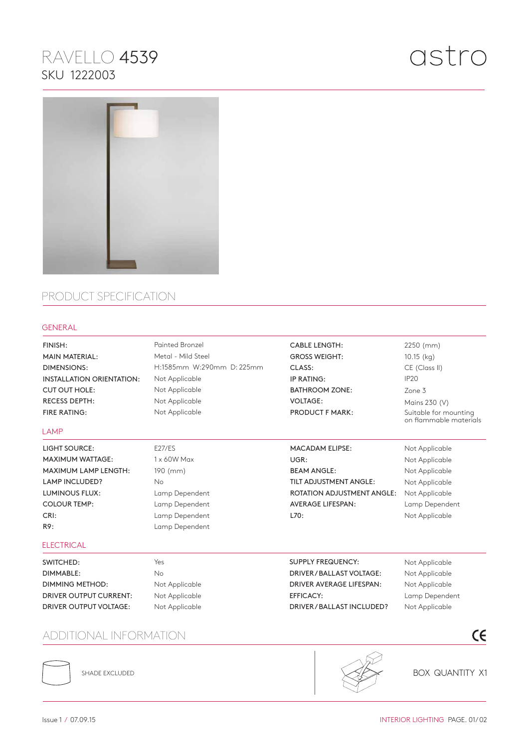# RAVELLO 4539 SKU 1222003



### PRODUCT SPECIFICATION

#### GENERAL

| FINISH:                              | <b>Painted Bronzel</b>    | <b>CABLE LENGTH:</b>              | 2250 (mm)                                       |
|--------------------------------------|---------------------------|-----------------------------------|-------------------------------------------------|
| <b>MAIN MATERIAL:</b>                | Metal - Mild Steel        | <b>GROSS WEIGHT:</b>              | 10.15 (kg)                                      |
| <b>DIMENSIONS:</b>                   | H:1585mm W:290mm D: 225mm | CLASS:                            | CE (Class II)                                   |
| <b>INSTALLATION ORIENTATION:</b>     | Not Applicable            | IP RATING:                        | IP <sub>20</sub>                                |
| <b>CUT OUT HOLE:</b>                 | Not Applicable            | <b>BATHROOM ZONE:</b>             | Zone 3                                          |
| <b>RECESS DEPTH:</b>                 | Not Applicable            | <b>VOLTAGE:</b>                   | Mains 230 (V)                                   |
| <b>FIRE RATING:</b>                  | Not Applicable            | <b>PRODUCT F MARK:</b>            | Suitable for mounting<br>on flammable materials |
| LAMP                                 |                           |                                   |                                                 |
| <b>LIGHT SOURCE:</b>                 | <b>E27/ES</b>             | <b>MACADAM ELIPSE:</b>            | Not Applicable                                  |
| <b>MAXIMUM WATTAGE:</b>              | 1 x 60W Max               | UGR:                              | Not Applicable                                  |
| <b>MAXIMUM LAMP LENGTH:</b>          | 190 (mm)                  | <b>BEAM ANGLE:</b>                | Not Applicable                                  |
| <b>LAMP INCLUDED?</b>                | <b>No</b>                 | TILT ADJUSTMENT ANGLE:            | Not Applicable                                  |
| <b>LUMINOUS FLUX:</b>                | Lamp Dependent            | <b>ROTATION ADJUSTMENT ANGLE:</b> | Not Applicable                                  |
| <b>COLOUR TEMP:</b>                  | Lamp Dependent            | <b>AVERAGE LIFESPAN:</b>          | Lamp Dependent                                  |
| CRI:                                 | Lamp Dependent            | L70:                              | Not Applicable                                  |
| R9:                                  | Lamp Dependent            |                                   |                                                 |
| <b>ELECTRICAL</b>                    |                           |                                   |                                                 |
| SWITCHED:                            | Yes                       | <b>SUPPLY FREQUENCY:</b>          | Not Applicable                                  |
| DIMMABLE:                            | <b>No</b>                 | DRIVER / BALLAST VOLTAGE:         | Not Applicable                                  |
| <b>DIMMING METHOD:</b>               | Not Applicable            | DRIVER AVERAGE LIFESPAN:          | Not Applicable                                  |
| <b>DRIVER OUTPUT CURRENT:</b>        | Not Applicable            | <b>EFFICACY:</b>                  | Lamp Dependent                                  |
| <b>DRIVER OUTPUT VOLTAGE:</b>        | Not Applicable            | DRIVER/BALLAST INCLUDED?          | Not Applicable                                  |
|                                      |                           |                                   |                                                 |
| $\epsilon$<br>ADDITIONAL INFORMATION |                           |                                   |                                                 |

### ADDITIONAL INFORMATION



SHADE EXCLUDED



BOX QUANTITY X1